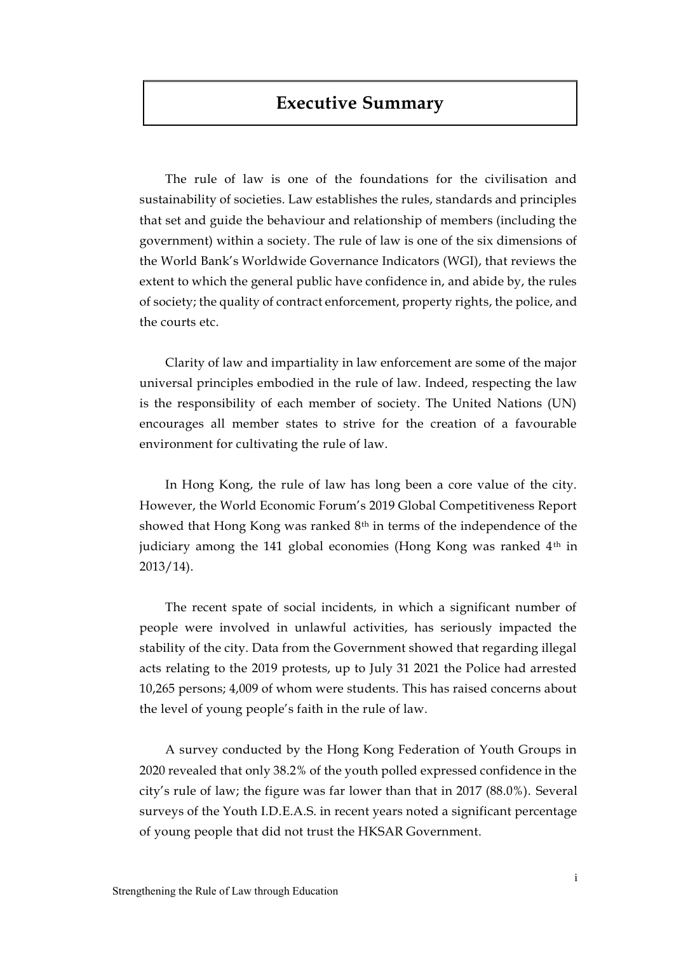# **Executive Summary**

The rule of law is one of the foundations for the civilisation and sustainability of societies. Law establishes the rules, standards and principles that set and guide the behaviour and relationship of members (including the government) within a society. The rule of law is one of the six dimensions of the World Bank's Worldwide Governance Indicators (WGI), that reviews the extent to which the general public have confidence in, and abide by, the rules of society; the quality of contract enforcement, property rights, the police, and the courts etc.

Clarity of law and impartiality in law enforcement are some of the major universal principles embodied in the rule of law. Indeed, respecting the law is the responsibility of each member of society. The United Nations (UN) encourages all member states to strive for the creation of a favourable environment for cultivating the rule of law.

In Hong Kong, the rule of law has long been a core value of the city. However, the World Economic Forum's 2019 Global Competitiveness Report showed that Hong Kong was ranked 8<sup>th</sup> in terms of the independence of the judiciary among the 141 global economies (Hong Kong was ranked 4<sup>th</sup> in 2013/14).

The recent spate of social incidents, in which a significant number of people were involved in unlawful activities, has seriously impacted the stability of the city. Data from the Government showed that regarding illegal acts relating to the 2019 protests, up to July 31 2021 the Police had arrested 10,265 persons; 4,009 of whom were students. This has raised concerns about the level of young people's faith in the rule of law.

A survey conducted by the Hong Kong Federation of Youth Groups in 2020 revealed that only 38.2% of the youth polled expressed confidence in the city's rule of law; the figure was far lower than that in 2017 (88.0%). Several surveys of the Youth I.D.E.A.S. in recent years noted a significant percentage of young people that did not trust the HKSAR Government.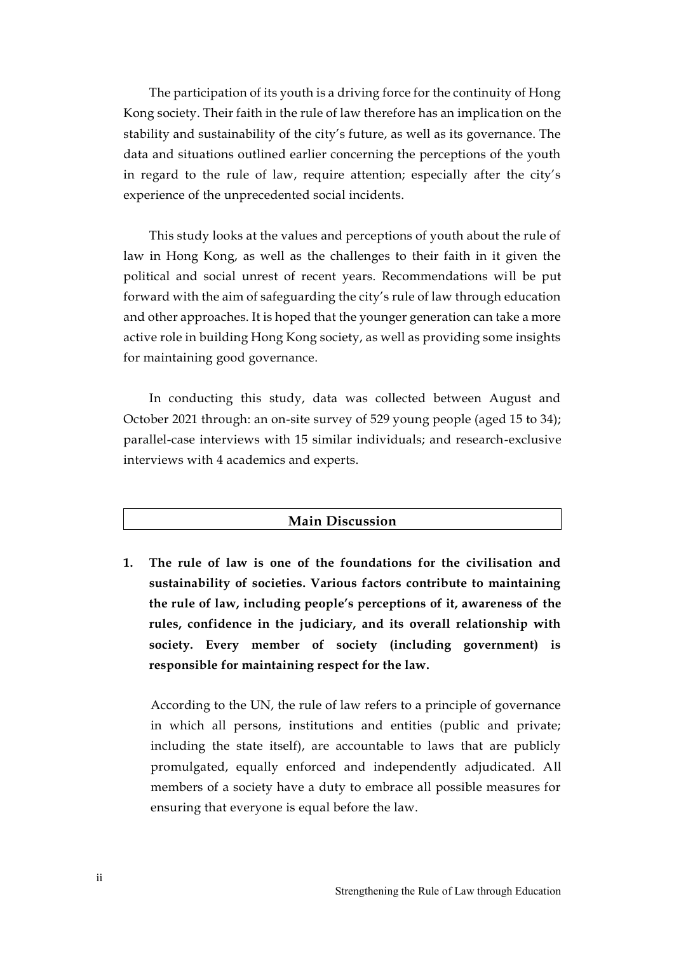The participation of its youth is a driving force for the continuity of Hong Kong society. Their faith in the rule of law therefore has an implication on the stability and sustainability of the city's future, as well as its governance. The data and situations outlined earlier concerning the perceptions of the youth in regard to the rule of law, require attention; especially after the city's experience of the unprecedented social incidents.

This study looks at the values and perceptions of youth about the rule of law in Hong Kong, as well as the challenges to their faith in it given the political and social unrest of recent years. Recommendations will be put forward with the aim of safeguarding the city's rule of law through education and other approaches. It is hoped that the younger generation can take a more active role in building Hong Kong society, as well as providing some insights for maintaining good governance.

In conducting this study, data was collected between August and October 2021 through: an on-site survey of 529 young people (aged 15 to 34); parallel-case interviews with 15 similar individuals; and research-exclusive interviews with 4 academics and experts.

### **Main Discussion**

**1. The rule of law is one of the foundations for the civilisation and sustainability of societies. Various factors contribute to maintaining the rule of law, including people's perceptions of it, awareness of the rules, confidence in the judiciary, and its overall relationship with society. Every member of society (including government) is responsible for maintaining respect for the law.**

According to the UN, the rule of law refers to a principle of governance in which all persons, institutions and entities (public and private; including the state itself), are accountable to laws that are publicly promulgated, equally enforced and independently adjudicated. All members of a society have a duty to embrace all possible measures for ensuring that everyone is equal before the law.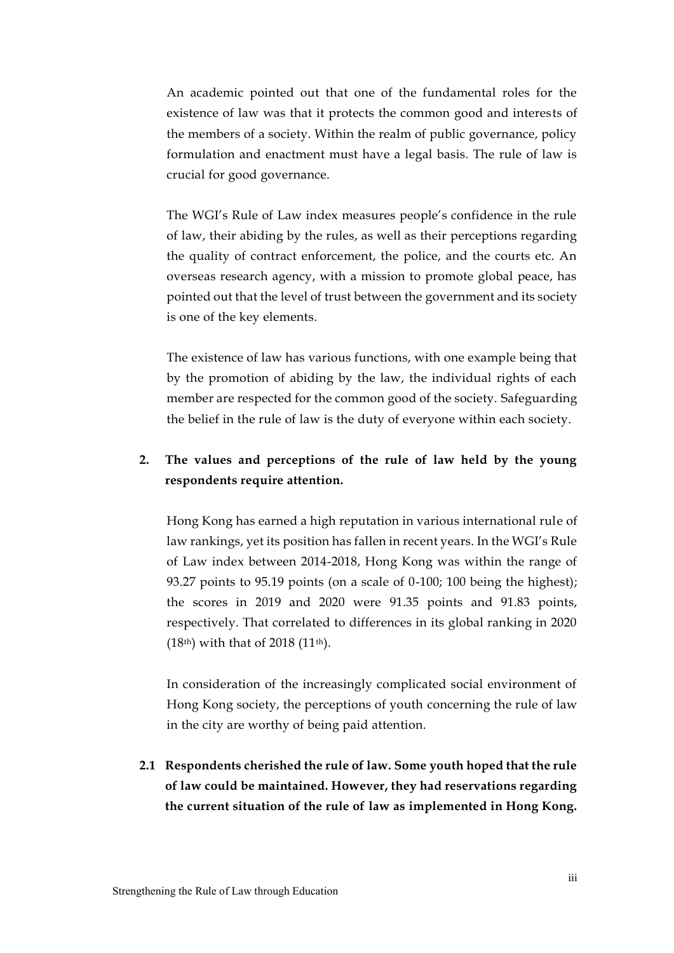An academic pointed out that one of the fundamental roles for the existence of law was that it protects the common good and interests of the members of a society. Within the realm of public governance, policy formulation and enactment must have a legal basis. The rule of law is crucial for good governance.

The WGI's Rule of Law index measures people's confidence in the rule of law, their abiding by the rules, as well as their perceptions regarding the quality of contract enforcement, the police, and the courts etc. An overseas research agency, with a mission to promote global peace, has pointed out that the level of trust between the government and its society is one of the key elements.

The existence of law has various functions, with one example being that by the promotion of abiding by the law, the individual rights of each member are respected for the common good of the society. Safeguarding the belief in the rule of law is the duty of everyone within each society.

## **2. The values and perceptions of the rule of law held by the young respondents require attention.**

Hong Kong has earned a high reputation in various international rule of law rankings, yet its position has fallen in recent years. In the WGI's Rule of Law index between 2014-2018, Hong Kong was within the range of 93.27 points to 95.19 points (on a scale of 0-100; 100 being the highest); the scores in 2019 and 2020 were 91.35 points and 91.83 points, respectively. That correlated to differences in its global ranking in 2020 (18th) with that of 2018 (11th).

In consideration of the increasingly complicated social environment of Hong Kong society, the perceptions of youth concerning the rule of law in the city are worthy of being paid attention.

**2.1 Respondents cherished the rule of law. Some youth hoped that the rule of law could be maintained. However, they had reservations regarding the current situation of the rule of law as implemented in Hong Kong.**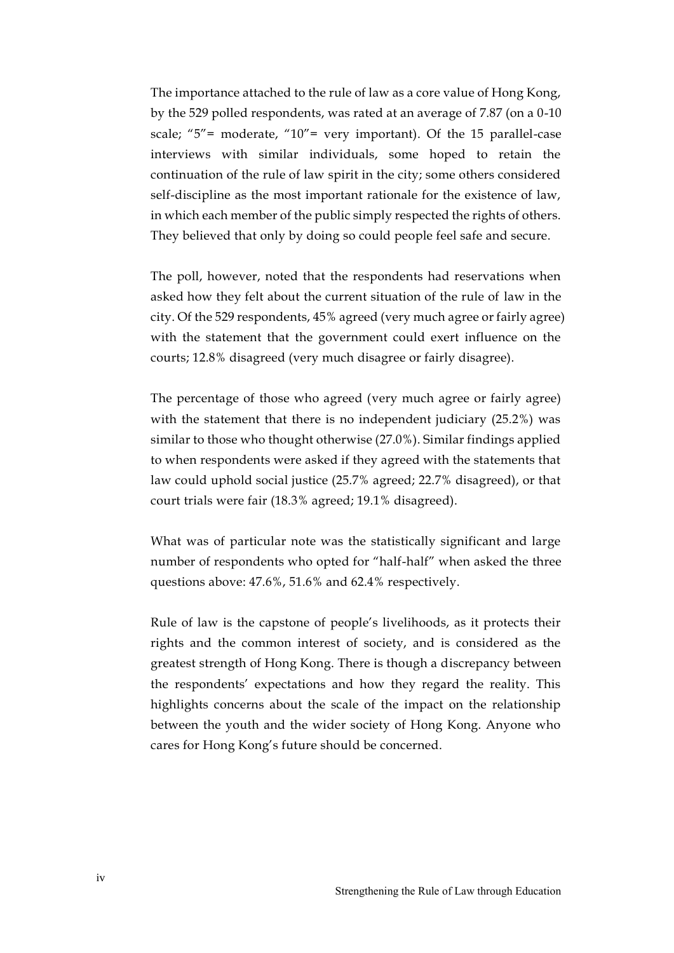The importance attached to the rule of law as a core value of Hong Kong, by the 529 polled respondents, was rated at an average of 7.87 (on a 0-10 scale; " $5"$  = moderate, " $10"$  = very important). Of the 15 parallel-case interviews with similar individuals, some hoped to retain the continuation of the rule of law spirit in the city; some others considered self-discipline as the most important rationale for the existence of law, in which each member of the public simply respected the rights of others. They believed that only by doing so could people feel safe and secure.

The poll, however, noted that the respondents had reservations when asked how they felt about the current situation of the rule of law in the city. Of the 529 respondents, 45% agreed (very much agree or fairly agree) with the statement that the government could exert influence on the courts; 12.8% disagreed (very much disagree or fairly disagree).

The percentage of those who agreed (very much agree or fairly agree) with the statement that there is no independent judiciary (25.2%) was similar to those who thought otherwise (27.0%). Similar findings applied to when respondents were asked if they agreed with the statements that law could uphold social justice (25.7% agreed; 22.7% disagreed), or that court trials were fair (18.3% agreed; 19.1% disagreed).

What was of particular note was the statistically significant and large number of respondents who opted for "half-half" when asked the three questions above: 47.6%, 51.6% and 62.4% respectively.

Rule of law is the capstone of people's livelihoods, as it protects their rights and the common interest of society, and is considered as the greatest strength of Hong Kong. There is though a discrepancy between the respondents' expectations and how they regard the reality. This highlights concerns about the scale of the impact on the relationship between the youth and the wider society of Hong Kong. Anyone who cares for Hong Kong's future should be concerned.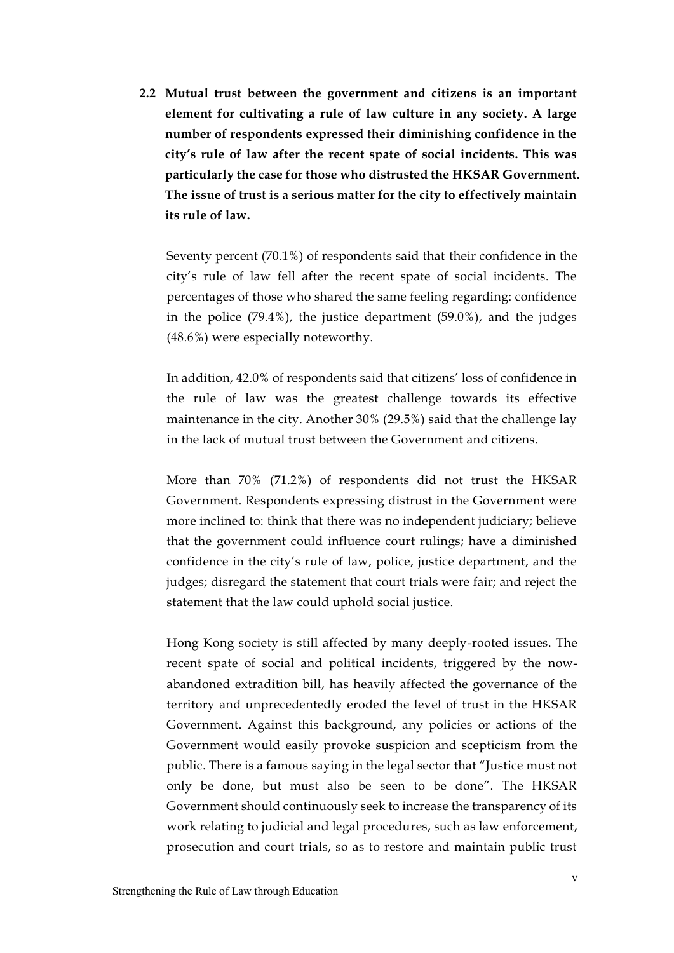**2.2 Mutual trust between the government and citizens is an important element for cultivating a rule of law culture in any society. A large number of respondents expressed their diminishing confidence in the city's rule of law after the recent spate of social incidents. This was particularly the case for those who distrusted the HKSAR Government. The issue of trust is a serious matter for the city to effectively maintain its rule of law.** 

Seventy percent (70.1%) of respondents said that their confidence in the city's rule of law fell after the recent spate of social incidents. The percentages of those who shared the same feeling regarding: confidence in the police (79.4%), the justice department (59.0%), and the judges (48.6%) were especially noteworthy.

In addition, 42.0% of respondents said that citizens' loss of confidence in the rule of law was the greatest challenge towards its effective maintenance in the city. Another 30% (29.5%) said that the challenge lay in the lack of mutual trust between the Government and citizens.

More than 70% (71.2%) of respondents did not trust the HKSAR Government. Respondents expressing distrust in the Government were more inclined to: think that there was no independent judiciary; believe that the government could influence court rulings; have a diminished confidence in the city's rule of law, police, justice department, and the judges; disregard the statement that court trials were fair; and reject the statement that the law could uphold social justice.

Hong Kong society is still affected by many deeply-rooted issues. The recent spate of social and political incidents, triggered by the [now](https://www.scmp.com/topics/hong-kong-extradition-law?module=inline&pgtype=article)[abandoned extradition bill,](https://www.scmp.com/topics/hong-kong-extradition-law?module=inline&pgtype=article) has heavily affected the governance of the territory and unprecedentedly eroded the level of trust in the HKSAR Government. Against this background, any policies or actions of the Government would easily provoke suspicion and scepticism from the public. There is a famous saying in the legal sector that "Justice must not only be done, but must also be seen to be done". The HKSAR Government should continuously seek to increase the transparency of its work relating to judicial and legal procedures, such as law enforcement, prosecution and court trials, so as to restore and maintain public trust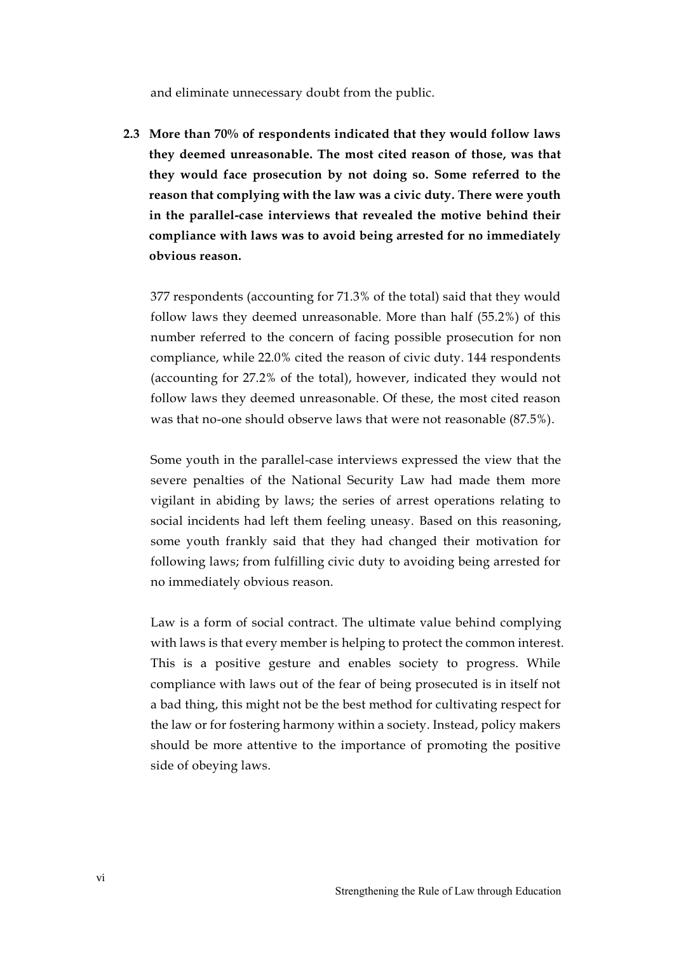and eliminate unnecessary doubt from the public.

**2.3 More than 70% of respondents indicated that they would follow laws they deemed unreasonable. The most cited reason of those, was that they would face prosecution by not doing so. Some referred to the reason that complying with the law was a civic duty. There were youth in the parallel-case interviews that revealed the motive behind their compliance with laws was to avoid being arrested for no immediately obvious reason.**

377 respondents (accounting for 71.3% of the total) said that they would follow laws they deemed unreasonable. More than half (55.2%) of this number referred to the concern of facing possible prosecution for non compliance, while 22.0% cited the reason of civic duty. 144 respondents (accounting for 27.2% of the total), however, indicated they would not follow laws they deemed unreasonable. Of these, the most cited reason was that no-one should observe laws that were not reasonable (87.5%).

Some youth in the parallel-case interviews expressed the view that the severe penalties of the National Security Law had made them more vigilant in abiding by laws; the series of arrest operations relating to social incidents had left them feeling uneasy. Based on this reasoning, some youth frankly said that they had changed their motivation for following laws; from fulfilling civic duty to avoiding being arrested for no immediately obvious reason.

Law is a form of social contract. The ultimate value behind complying with laws is that every member is helping to protect the common interest. This is a positive gesture and enables society to progress. While compliance with laws out of the fear of being prosecuted is in itself not a bad thing, this might not be the best method for cultivating respect for the law or for fostering harmony within a society. Instead, policy makers should be more attentive to the importance of promoting the positive side of obeying laws.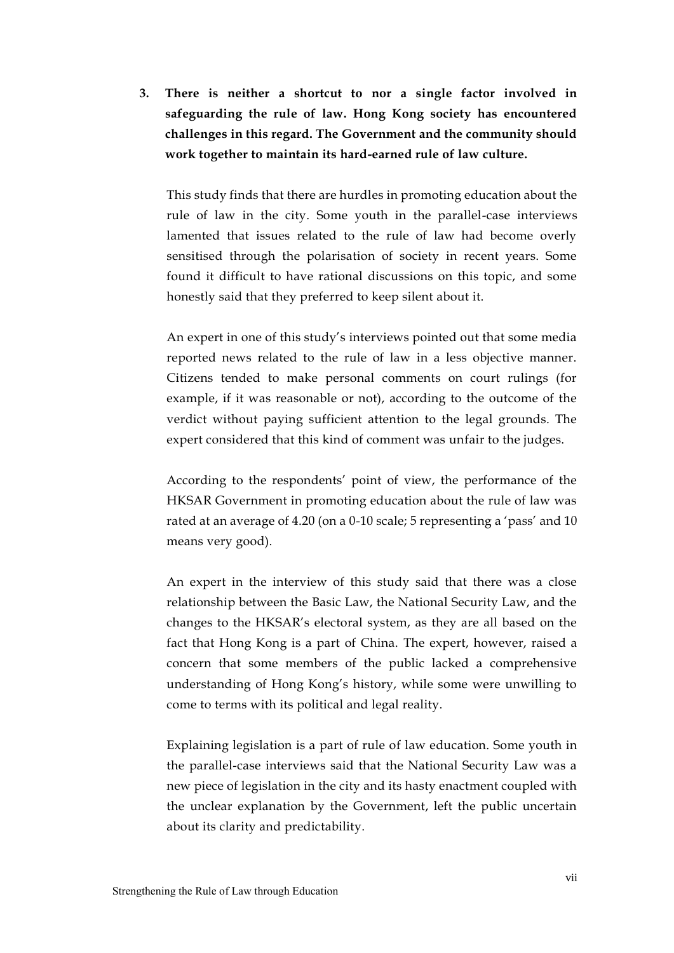**3. There is neither a shortcut to nor a single factor involved in safeguarding the rule of law. Hong Kong society has encountered challenges in this regard. The Government and the community should work together to maintain its hard-earned rule of law culture.**

This study finds that there are hurdles in promoting education about the rule of law in the city. Some youth in the parallel-case interviews lamented that issues related to the rule of law had become overly sensitised through the polarisation of society in recent years. Some found it difficult to have rational discussions on this topic, and some honestly said that they preferred to keep silent about it.

An expert in one of this study's interviews pointed out that some media reported news related to the rule of law in a less objective manner. Citizens tended to make personal comments on court rulings (for example, if it was reasonable or not), according to the outcome of the verdict without paying sufficient attention to the legal grounds. The expert considered that this kind of comment was unfair to the judges.

According to the respondents' point of view, the performance of the HKSAR Government in promoting education about the rule of law was rated at an average of 4.20 (on a 0-10 scale; 5 representing a 'pass' and 10 means very good).

An expert in the interview of this study said that there was a close relationship between the Basic Law, the National Security Law, and the changes to the HKSAR's electoral system, as they are all based on the fact that Hong Kong is a part of China. The expert, however, raised a concern that some members of the public lacked a comprehensive understanding of Hong Kong's history, while some were unwilling to come to terms with its political and legal reality.

Explaining legislation is a part of rule of law education. Some youth in the parallel-case interviews said that the National Security Law was a new piece of legislation in the city and its hasty enactment coupled with the unclear explanation by the Government, left the public uncertain about its clarity and predictability.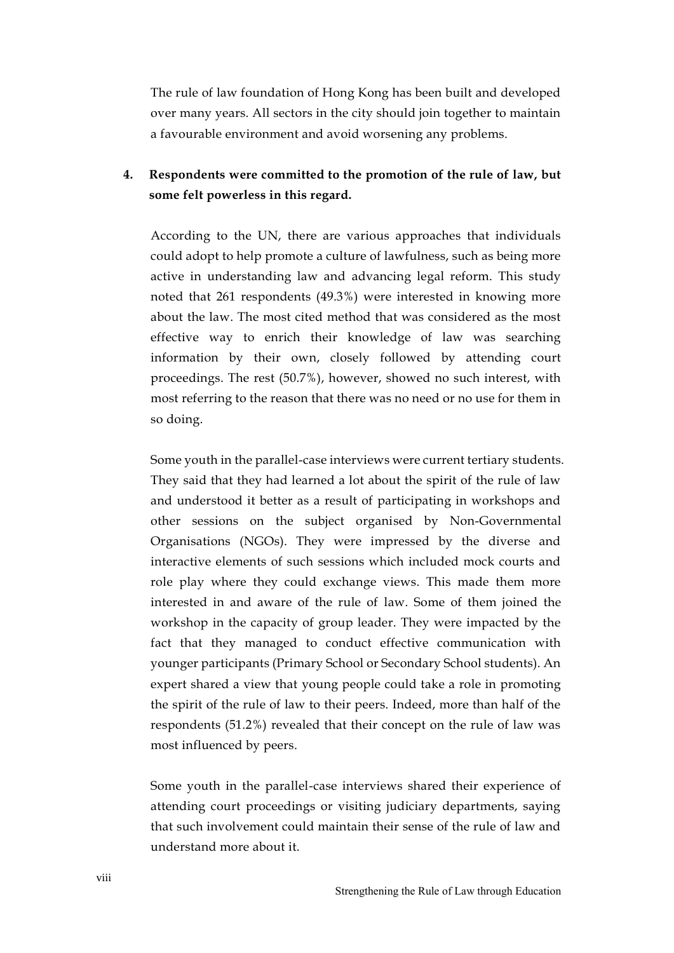The rule of law foundation of Hong Kong has been built and developed over many years. All sectors in the city should join together to maintain a favourable environment and avoid worsening any problems.

### **4. Respondents were committed to the promotion of the rule of law, but some felt powerless in this regard.**

According to the UN, there are various approaches that individuals could adopt to help promote a culture of lawfulness, such as being more active in understanding law and advancing legal reform. This study noted that 261 respondents (49.3%) were interested in knowing more about the law. The most cited method that was considered as the most effective way to enrich their knowledge of law was searching information by their own, closely followed by attending court proceedings. The rest (50.7%), however, showed no such interest, with most referring to the reason that there was no need or no use for them in so doing.

Some youth in the parallel-case interviews were current tertiary students. They said that they had learned a lot about the spirit of the rule of law and understood it better as a result of participating in workshops and other sessions on the subject organised by Non-Governmental Organisations (NGOs). They were impressed by the diverse and interactive elements of such sessions which included mock courts and role play where they could exchange views. This made them more interested in and aware of the rule of law. Some of them joined the workshop in the capacity of group leader. They were impacted by the fact that they managed to conduct effective communication with younger participants (Primary School or Secondary School students). An expert shared a view that young people could take a role in promoting the spirit of the rule of law to their peers. Indeed, more than half of the respondents (51.2%) revealed that their concept on the rule of law was most influenced by peers.

Some youth in the parallel-case interviews shared their experience of attending court proceedings or visiting judiciary departments, saying that such involvement could maintain their sense of the rule of law and understand more about it.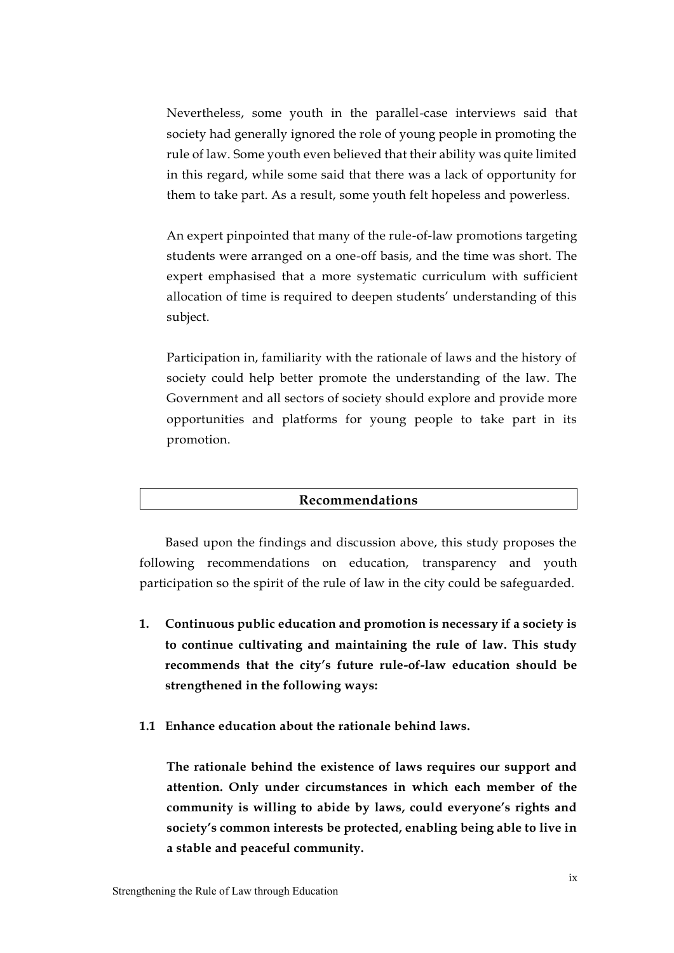Nevertheless, some youth in the parallel-case interviews said that society had generally ignored the role of young people in promoting the rule of law. Some youth even believed that their ability was quite limited in this regard, while some said that there was a lack of opportunity for them to take part. As a result, some youth felt hopeless and powerless.

An expert pinpointed that many of the rule-of-law promotions targeting students were arranged on a one-off basis, and the time was short. The expert emphasised that a more systematic curriculum with sufficient allocation of time is required to deepen students' understanding of this subject.

Participation in, familiarity with the rationale of laws and the history of society could help better promote the understanding of the law. The Government and all sectors of society should explore and provide more opportunities and platforms for young people to take part in its promotion.

### **Recommendations**

Based upon the findings and discussion above, this study proposes the following recommendations on education, transparency and youth participation so the spirit of the rule of law in the city could be safeguarded.

- **1. Continuous public education and promotion is necessary if a society is to continue cultivating and maintaining the rule of law. This study recommends that the city's future rule-of-law education should be strengthened in the following ways:**
- **1.1 Enhance education about the rationale behind laws.**

**The rationale behind the existence of laws requires our support and attention. Only under circumstances in which each member of the community is willing to abide by laws, could everyone's rights and society's common interests be protected, enabling being able to live in a stable and peaceful community.**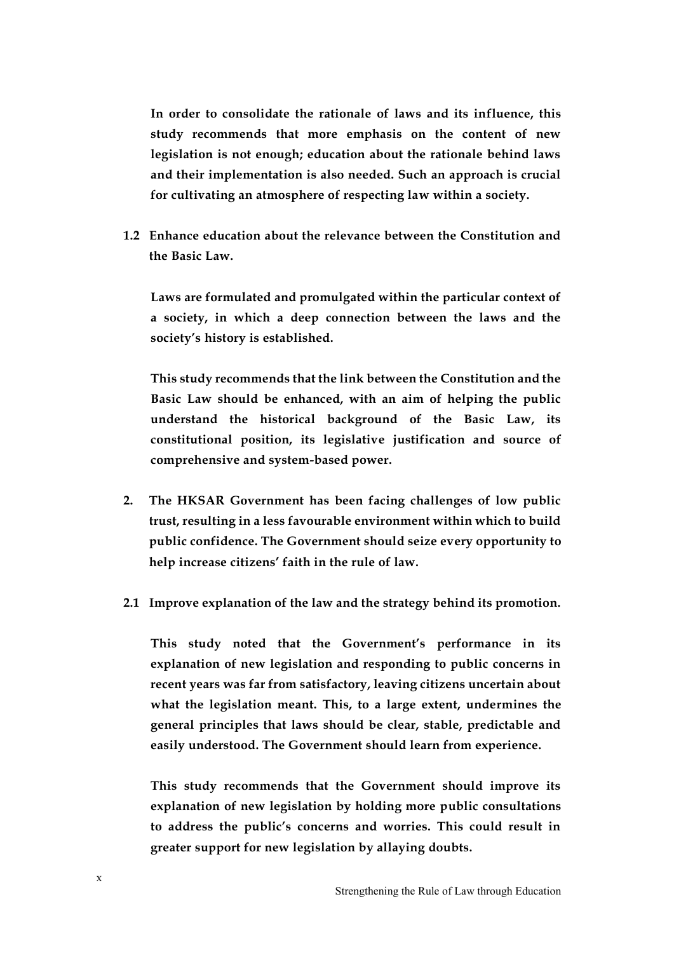**In order to consolidate the rationale of laws and its influence, this study recommends that more emphasis on the content of new legislation is not enough; education about the rationale behind laws and their implementation is also needed. Such an approach is crucial for cultivating an atmosphere of respecting law within a society.** 

**1.2 Enhance education about the relevance between the Constitution and the Basic Law.**

**Laws are formulated and promulgated within the particular context of a society, in which a deep connection between the laws and the society's history is established.**

**This study recommends that the link between the Constitution and the Basic Law should be enhanced, with an aim of helping the public understand the historical background of the Basic Law, its constitutional position, its legislative justification and source of comprehensive and system-based power.** 

- **2. The HKSAR Government has been facing challenges of low public trust, resulting in a less favourable environment within which to build public confidence. The Government should seize every opportunity to help increase citizens' faith in the rule of law.**
- **2.1 Improve explanation of the law and the strategy behind its promotion.**

**This study noted that the Government's performance in its explanation of new legislation and responding to public concerns in recent years was far from satisfactory, leaving citizens uncertain about what the legislation meant. This, to a large extent, undermines the general principles that laws should be clear, stable, predictable and easily understood. The Government should learn from experience.** 

**This study recommends that the Government should improve its explanation of new legislation by holding more public consultations to address the public's concerns and worries. This could result in greater support for new legislation by allaying doubts.**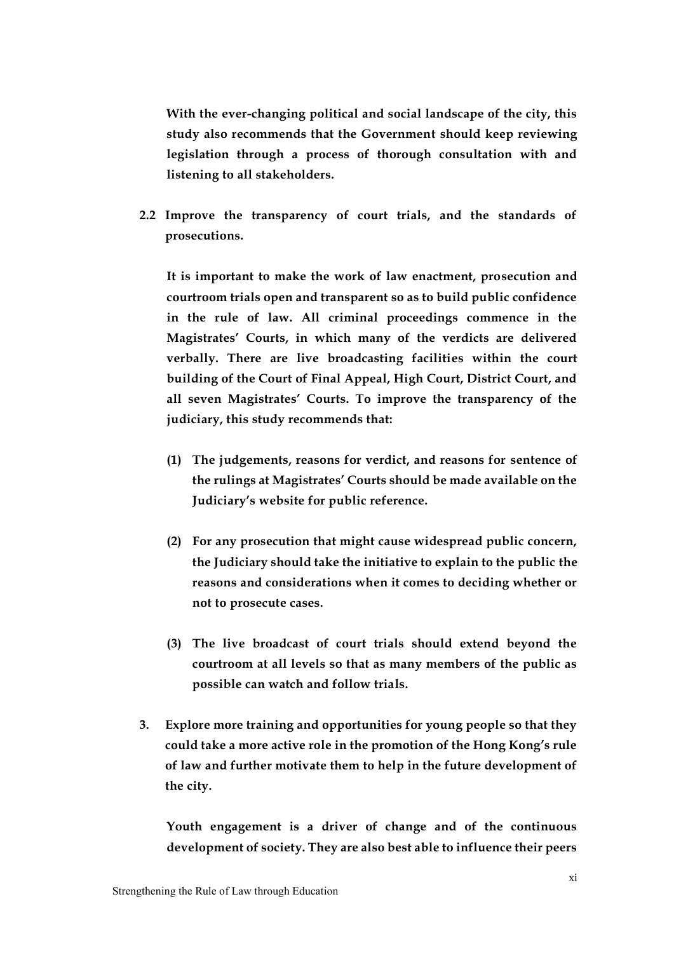**With the ever-changing political and social landscape of the city, this study also recommends that the Government should keep reviewing legislation through a process of thorough consultation with and listening to all stakeholders.**

**2.2 Improve the transparency of court trials, and the standards of prosecutions.**

**It is important to make the work of law enactment, prosecution and courtroom trials open and transparent so as to build public confidence in the rule of law. All criminal proceedings commence in the Magistrates' Courts, in which many of the verdicts are delivered verbally. There are live broadcasting facilities within the court building of the Court of Final Appeal, High Court, District Court, and all seven Magistrates' Courts. To improve the transparency of the judiciary, this study recommends that:** 

- **(1) The judgements, reasons for verdict, and reasons for sentence of the rulings at Magistrates' Courts should be made available on the Judiciary's website for public reference.**
- **(2) For any prosecution that might cause widespread public concern, the Judiciary should take the initiative to explain to the public the reasons and considerations when it comes to deciding whether or not to prosecute cases.**
- **(3) The live broadcast of court trials should extend beyond the courtroom at all levels so that as many members of the public as possible can watch and follow trials.**
- **3. Explore more training and opportunities for young people so that they could take a more active role in the promotion of the Hong Kong's rule of law and further motivate them to help in the future development of the city.**

**Youth engagement is a driver of change and of the continuous development of society. They are also best able to influence their peers**